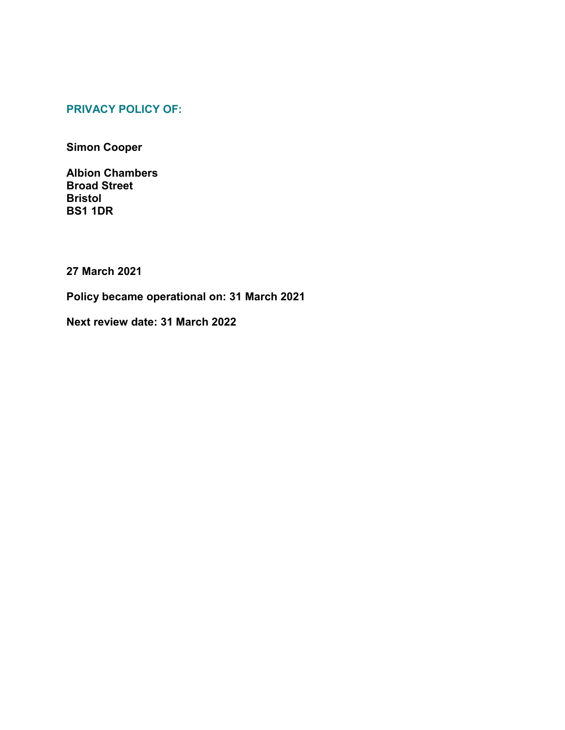# **PRIVACY POLICY OF:**

**Simon Cooper**

**Albion Chambers Broad Street Bristol BS1 1DR**

**27 March 2021**

**Policy became operational on: 31 March 2021**

**Next review date: 31 March 2022**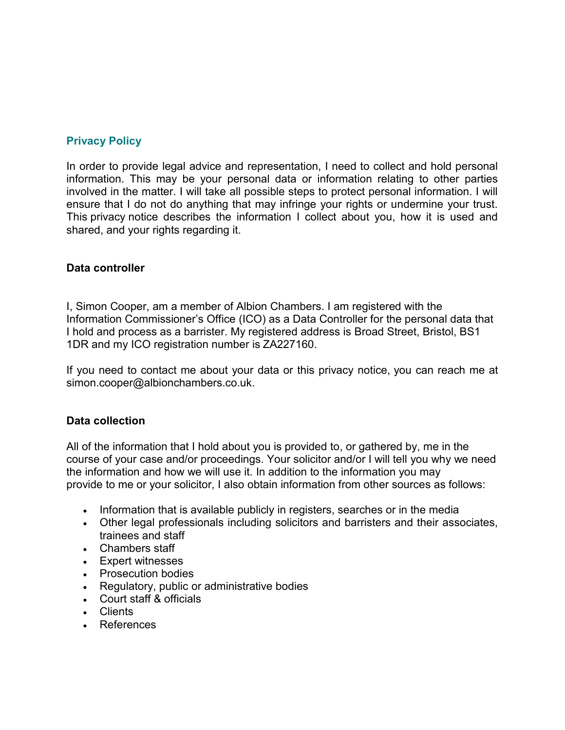## **Privacy Policy**

In order to provide legal advice and representation, I need to collect and hold personal information. This may be your personal data or information relating to other parties involved in the matter. I will take all possible steps to protect personal information. I will ensure that I do not do anything that may infringe your rights or undermine your trust. This privacy notice describes the information I collect about you, how it is used and shared, and your rights regarding it.

#### **Data controller**

I, Simon Cooper, am a member of Albion Chambers. I am registered with the Information Commissioner's Office (ICO) as a Data Controller for the personal data that I hold and process as a barrister. My registered address is Broad Street, Bristol, BS1 1DR and my ICO registration number is ZA227160.

If you need to contact me about your data or this privacy notice, you can reach me at simon.cooper@albionchambers.co.uk.

#### **Data collection**

All of the information that I hold about you is provided to, or gathered by, me in the course of your case and/or proceedings. Your solicitor and/or I will tell you why we need the information and how we will use it. In addition to the information you may provide to me or your solicitor, I also obtain information from other sources as follows:

- Information that is available publicly in registers, searches or in the media
- Other legal professionals including solicitors and barristers and their associates, trainees and staff
- Chambers staff
- Expert witnesses
- Prosecution bodies
- Regulatory, public or administrative bodies
- Court staff & officials
- Clients
- References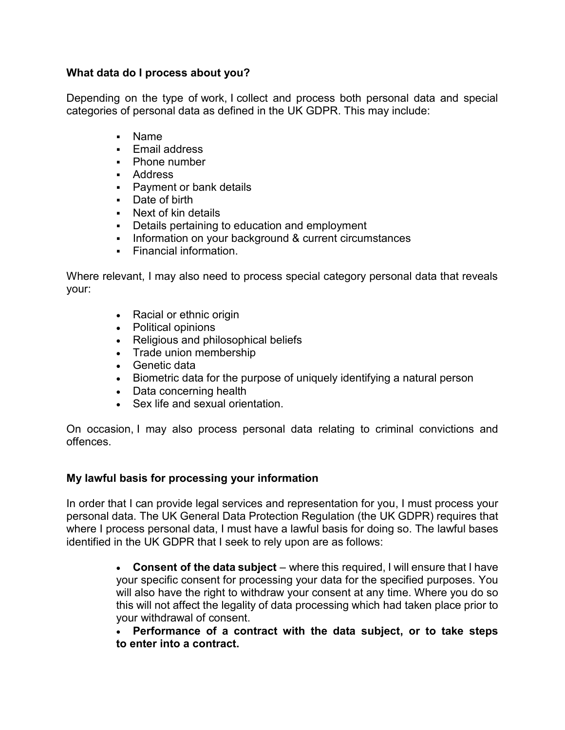### **What data do I process about you?**

Depending on the type of work, I collect and process both personal data and special categories of personal data as defined in the UK GDPR. This may include:

- Name
- **F** Fmail address
- Phone number
- Address
- Payment or bank details
- Date of birth
- Next of kin details
- **Details pertaining to education and employment**
- Information on your background & current circumstances
- Financial information.

Where relevant, I may also need to process special category personal data that reveals your:

- Racial or ethnic origin
- Political opinions
- Religious and philosophical beliefs
- Trade union membership
- Genetic data
- Biometric data for the purpose of uniquely identifying a natural person
- Data concerning health
- Sex life and sexual orientation.

On occasion, I may also process personal data relating to criminal convictions and offences.

#### **My lawful basis for processing your information**

In order that I can provide legal services and representation for you, I must process your personal data. The UK General Data Protection Regulation (the UK GDPR) requires that where I process personal data, I must have a lawful basis for doing so. The lawful bases identified in the UK GDPR that I seek to rely upon are as follows:

> **Consent of the data subject** – where this required, I will ensure that I have your specific consent for processing your data for the specified purposes. You will also have the right to withdraw your consent at any time. Where you do so this will not affect the legality of data processing which had taken place prior to your withdrawal of consent.

> **Performance of a contract with the data subject, or to take steps to enter into a contract.**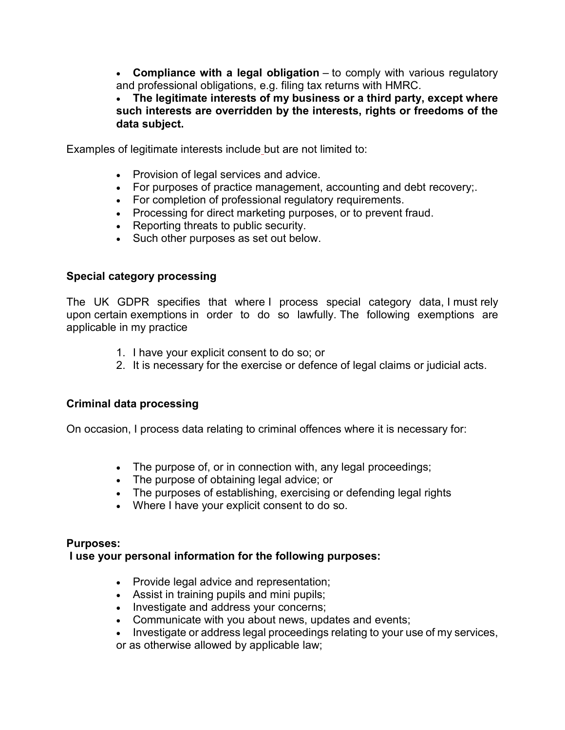**Compliance with a legal obligation** – to comply with various regulatory and professional obligations, e.g. filing tax returns with HMRC.

 **The legitimate interests of my business or a third party, except where such interests are overridden by the interests, rights or freedoms of the data subject.**

Examples of legitimate interests include but are not limited to:

- Provision of legal services and advice.
- For purposes of practice management, accounting and debt recovery;
- For completion of professional regulatory requirements.
- Processing for direct marketing purposes, or to prevent fraud.
- Reporting threats to public security.
- Such other purposes as set out below.

### **Special category processing**

The UK GDPR specifies that where I process special category data, I must rely upon certain exemptions in order to do so lawfully. The following exemptions are applicable in my practice

- 1. I have your explicit consent to do so; or
- 2. It is necessary for the exercise or defence of legal claims or judicial acts.

## **Criminal data processing**

On occasion, I process data relating to criminal offences where it is necessary for:

- The purpose of, or in connection with, any legal proceedings;
- The purpose of obtaining legal advice; or
- . The purposes of establishing, exercising or defending legal rights
- Where I have your explicit consent to do so.

#### **Purposes:**

#### **I use your personal information for the following purposes:**

- Provide legal advice and representation;
- Assist in training pupils and mini pupils;
- Investigate and address your concerns;
- Communicate with you about news, updates and events;
- Investigate or address legal proceedings relating to your use of my services,
- or as otherwise allowed by applicable law;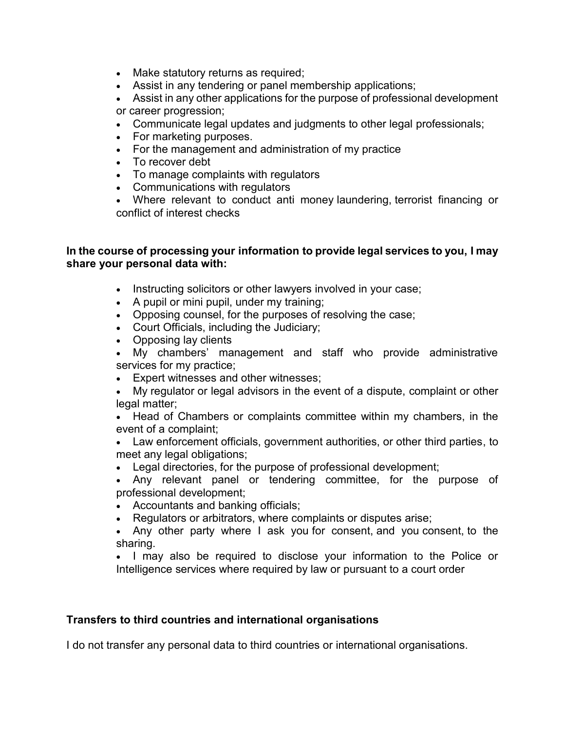- Make statutory returns as required;
- Assist in any tendering or panel membership applications;
- Assist in any other applications for the purpose of professional development or career progression;
- Communicate legal updates and judgments to other legal professionals;
- For marketing purposes.
- For the management and administration of my practice
- To recover debt
- To manage complaints with regulators
- Communications with regulators
- Where relevant to conduct anti money laundering, terrorist financing or conflict of interest checks

#### **In the course of processing your information to provide legal services to you, I may share your personal data with:**

- Instructing solicitors or other lawyers involved in your case;
- A pupil or mini pupil, under my training;
- Opposing counsel, for the purposes of resolving the case;
- Court Officials, including the Judiciary;
- Opposing lay clients

 My chambers' management and staff who provide administrative services for my practice;

- Expert witnesses and other witnesses;
- My regulator or legal advisors in the event of a dispute, complaint or other legal matter;

 Head of Chambers or complaints committee within my chambers, in the event of a complaint;

 Law enforcement officials, government authorities, or other third parties, to meet any legal obligations;

Legal directories, for the purpose of professional development;

 Any relevant panel or tendering committee, for the purpose of professional development;

- Accountants and banking officials;
- Regulators or arbitrators, where complaints or disputes arise;

 Any other party where I ask you for consent, and you consent, to the sharing.

• I may also be required to disclose your information to the Police or Intelligence services where required by law or pursuant to a court order

## **Transfers to third countries and international organisations**

I do not transfer any personal data to third countries or international organisations.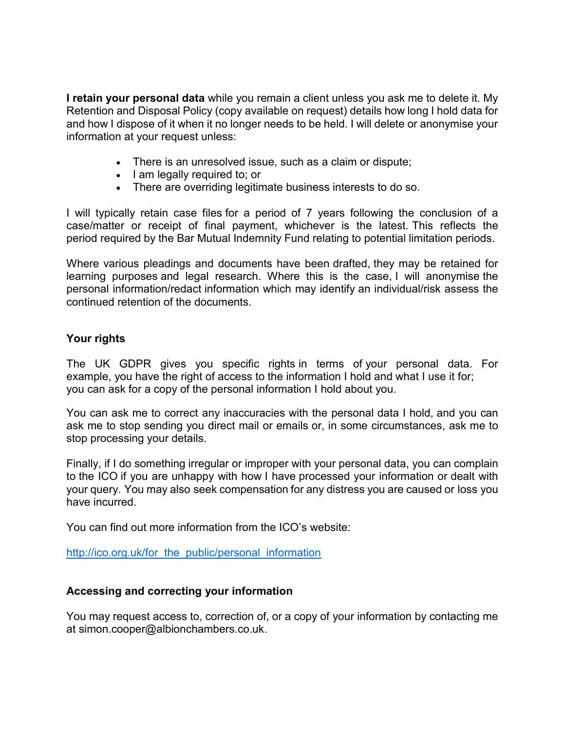**I retain your personal data** while you remain a client unless you ask me to delete it. My Retention and Disposal Policy (copy available on request) details how long I hold data for and how I dispose of it when it no longer needs to be held. I will delete or anonymise your information at your request unless:

- There is an unresolved issue, such as a claim or dispute;
- I am legally required to; or
- There are overriding legitimate business interests to do so.

I will typically retain case files for a period of 7 years following the conclusion of a case/matter or receipt of final payment, whichever is the latest. This reflects the period required by the Bar Mutual Indemnity Fund relating to potential limitation periods.

Where various pleadings and documents have been drafted, they may be retained for learning purposes and legal research. Where this is the case, I will anonymise the personal information/redact information which may identify an individual/risk assess the continued retention of the documents.

## **Your rights**

The UK GDPR gives you specific rights in terms of your personal data. For example, you have the right of access to the information I hold and what I use it for; you can ask for a copy of the personal information I hold about you.

You can ask me to correct any inaccuracies with the personal data I hold, and you can ask me to stop sending you direct mail or emails or, in some circumstances, ask me to stop processing your details.

Finally, if I do something irregular or improper with your personal data, you can complain to the ICO if you are unhappy with how I have processed your information or dealt with your query. You may also seek compensation for any distress you are caused or loss you have incurred.

You can find out more information from the ICO's website:

http://ico.org.uk/for the public/personal information

#### **Accessing and correcting your information**

You may request access to, correction of, or a copy of your information by contacting me at simon.cooper@albionchambers.co.uk.